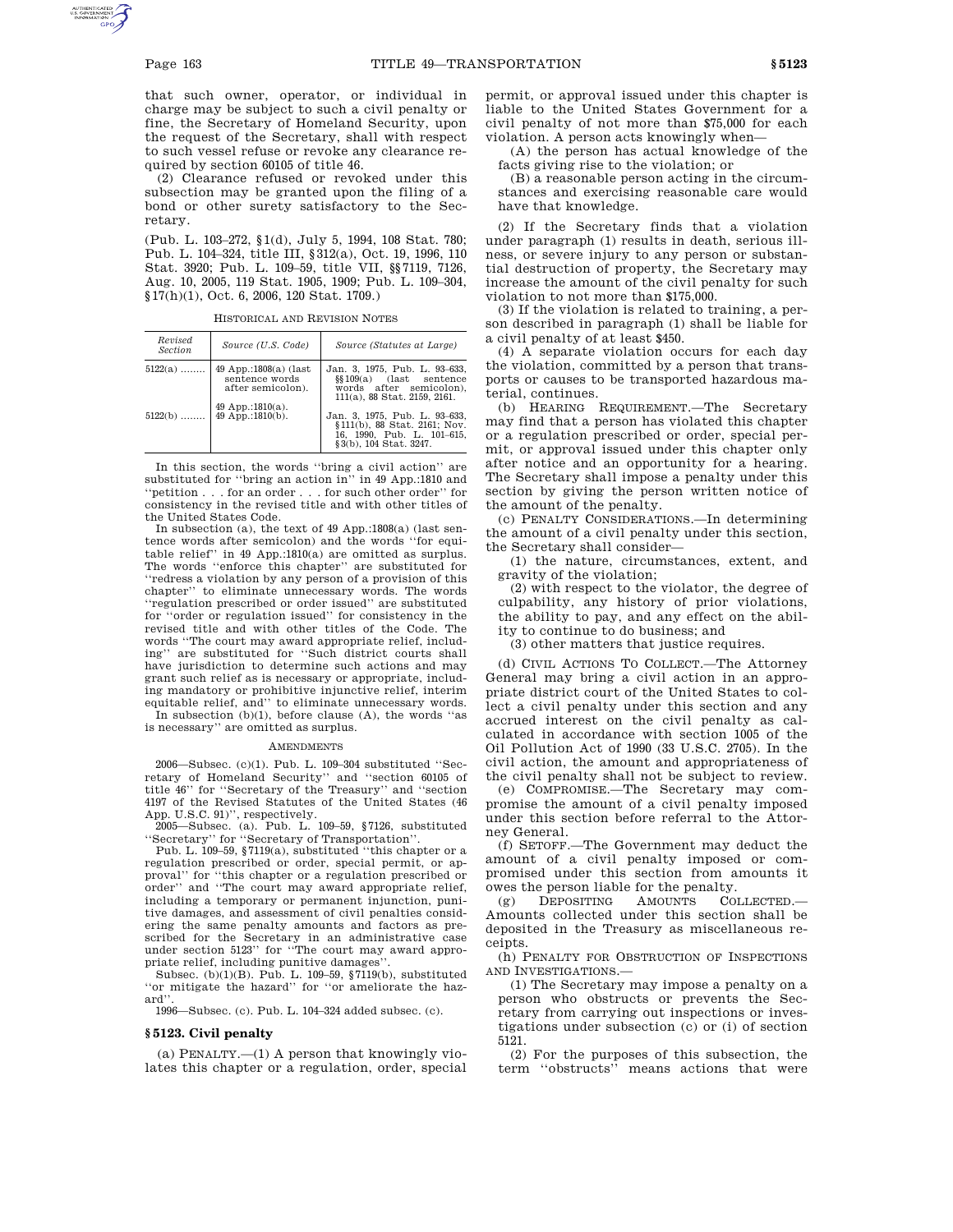that such owner, operator, or individual in charge may be subject to such a civil penalty or fine, the Secretary of Homeland Security, upon the request of the Secretary, shall with respect to such vessel refuse or revoke any clearance required by section 60105 of title 46.

(2) Clearance refused or revoked under this subsection may be granted upon the filing of a bond or other surety satisfactory to the Secretary.

(Pub. L. 103–272, §1(d), July 5, 1994, 108 Stat. 780; Pub. L. 104–324, title III, §312(a), Oct. 19, 1996, 110 Stat. 3920; Pub. L. 109–59, title VII, §§7119, 7126, Aug. 10, 2005, 119 Stat. 1905, 1909; Pub. L. 109–304, §17(h)(1), Oct. 6, 2006, 120 Stat. 1709.)

HISTORICAL AND REVISION NOTES

| Revised<br><b>Section</b> | Source (U.S. Code)                                                                                            | Source (Statutes at Large)                                                                                                                                                                                                                     |
|---------------------------|---------------------------------------------------------------------------------------------------------------|------------------------------------------------------------------------------------------------------------------------------------------------------------------------------------------------------------------------------------------------|
| $5122(a)$<br>$5122(b)$    | 49 App.:1808(a) (last<br>sentence words<br>after semicolon).<br>49 App.:1810(a).<br>49 $A\bar{p}p$ .:1810(b). | Jan. 3, 1975, Pub. L. 93-633,<br>$\S109(a)$ (last sentence<br>words after semicolon).<br>111(a), 88 Stat, 2159, 2161.<br>Jan. 3, 1975, Pub. L. 93-633,<br>§111(b), 88 Stat. 2161; Nov.<br>16, 1990, Pub. L. 101-615,<br>§3(b), 104 Stat, 3247. |

In this section, the words ''bring a civil action'' are substituted for ''bring an action in'' in 49 App.:1810 and 'netition . . . for an order . . . for such other order'' for consistency in the revised title and with other titles of the United States Code.

In subsection (a), the text of 49 App.:1808(a) (last sentence words after semicolon) and the words ''for equitable relief'' in 49 App.:1810(a) are omitted as surplus. The words ''enforce this chapter'' are substituted for ''redress a violation by any person of a provision of this chapter'' to eliminate unnecessary words. The words ''regulation prescribed or order issued'' are substituted 'order or regulation issued'' for consistency in the revised title and with other titles of the Code. The words ''The court may award appropriate relief, including'' are substituted for ''Such district courts shall have jurisdiction to determine such actions and may grant such relief as is necessary or appropriate, including mandatory or prohibitive injunctive relief, interim equitable relief, and'' to eliminate unnecessary words.

In subsection  $(b)(1)$ , before clause  $(A)$ , the words "as is necessary'' are omitted as surplus.

#### AMENDMENTS

2006—Subsec. (c)(1). Pub. L. 109–304 substituted ''Secretary of Homeland Security'' and ''section 60105 of title 46'' for ''Secretary of the Treasury'' and ''section 4197 of the Revised Statutes of the United States (46

App. U.S.C. 91)'', respectively. 2005—Subsec. (a). Pub. L. 109–59, §7126, substituted ''Secretary'' for ''Secretary of Transportation''.

Pub. L. 109–59, §7119(a), substituted ''this chapter or a regulation prescribed or order, special permit, or approval'' for ''this chapter or a regulation prescribed or order'' and ''The court may award appropriate relief, including a temporary or permanent injunction, punitive damages, and assessment of civil penalties considering the same penalty amounts and factors as prescribed for the Secretary in an administrative case under section 5123" for "The court may award appropriate relief, including punitive damages''.

Subsec. (b)(1)(B). Pub. L. 109–59, §7119(b), substituted ''or mitigate the hazard'' for ''or ameliorate the hazard''.

1996—Subsec. (c). Pub. L. 104–324 added subsec. (c).

### **§ 5123. Civil penalty**

(a) PENALTY.—(1) A person that knowingly violates this chapter or a regulation, order, special permit, or approval issued under this chapter is liable to the United States Government for a civil penalty of not more than \$75,000 for each violation. A person acts knowingly when—

(A) the person has actual knowledge of the facts giving rise to the violation; or

(B) a reasonable person acting in the circumstances and exercising reasonable care would have that knowledge.

(2) If the Secretary finds that a violation under paragraph (1) results in death, serious illness, or severe injury to any person or substantial destruction of property, the Secretary may increase the amount of the civil penalty for such violation to not more than \$175,000.

(3) If the violation is related to training, a person described in paragraph (1) shall be liable for a civil penalty of at least \$450.

(4) A separate violation occurs for each day the violation, committed by a person that transports or causes to be transported hazardous material, continues.

(b) HEARING REQUIREMENT.—The Secretary may find that a person has violated this chapter or a regulation prescribed or order, special permit, or approval issued under this chapter only after notice and an opportunity for a hearing. The Secretary shall impose a penalty under this section by giving the person written notice of the amount of the penalty.

(c) PENALTY CONSIDERATIONS.—In determining the amount of a civil penalty under this section, the Secretary shall consider—

(1) the nature, circumstances, extent, and gravity of the violation;

(2) with respect to the violator, the degree of culpability, any history of prior violations, the ability to pay, and any effect on the ability to continue to do business; and

(3) other matters that justice requires.

(d) CIVIL ACTIONS TO COLLECT.—The Attorney General may bring a civil action in an appropriate district court of the United States to collect a civil penalty under this section and any accrued interest on the civil penalty as calculated in accordance with section 1005 of the Oil Pollution Act of 1990 (33 U.S.C. 2705). In the civil action, the amount and appropriateness of the civil penalty shall not be subject to review.

(e) COMPROMISE.—The Secretary may compromise the amount of a civil penalty imposed under this section before referral to the Attorney General.

(f) SETOFF.—The Government may deduct the amount of a civil penalty imposed or compromised under this section from amounts it owes the person liable for the penalty.

(g) DEPOSITING AMOUNTS COLLECTED.— Amounts collected under this section shall be deposited in the Treasury as miscellaneous receipts.

(h) PENALTY FOR OBSTRUCTION OF INSPECTIONS AND INVESTIGATIONS.—

(1) The Secretary may impose a penalty on a person who obstructs or prevents the Secretary from carrying out inspections or investigations under subsection (c) or (i) of section 5121.

(2) For the purposes of this subsection, the term ''obstructs'' means actions that were